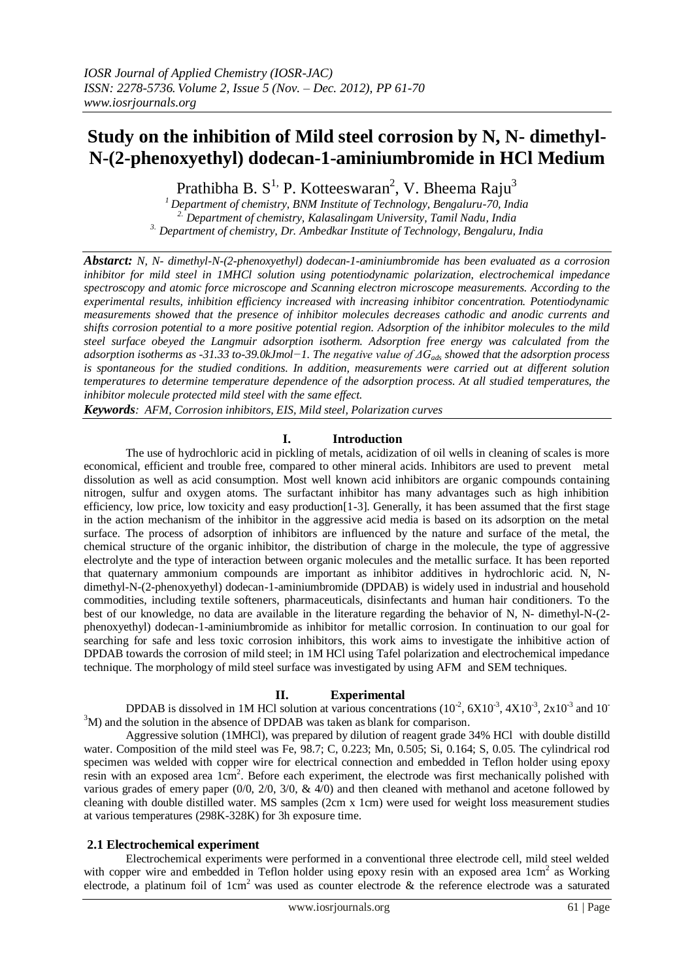# **Study on the inhibition of Mild steel corrosion by N, N- dimethyl-N-(2-phenoxyethyl) dodecan-1-aminiumbromide in HCl Medium**

Prathibha B. S<sup>1,</sup> P. Kotteeswaran<sup>2</sup>, V. Bheema Raju<sup>3</sup>

*<sup>1</sup> Department of chemistry, BNM Institute of Technology, Bengaluru-70, India 2. Department of chemistry, Kalasalingam University, Tamil Nadu, India 3. Department of chemistry, Dr. Ambedkar Institute of Technology, Bengaluru, India*

*Abstarct: N, N- dimethyl-N-(2-phenoxyethyl) dodecan-1-aminiumbromide has been evaluated as a corrosion inhibitor for mild steel in 1MHCl solution using potentiodynamic polarization, electrochemical impedance spectroscopy and atomic force microscope and Scanning electron microscope measurements. According to the experimental results, inhibition efficiency increased with increasing inhibitor concentration. Potentiodynamic measurements showed that the presence of inhibitor molecules decreases cathodic and anodic currents and shifts corrosion potential to a more positive potential region. Adsorption of the inhibitor molecules to the mild steel surface obeyed the Langmuir adsorption isotherm. Adsorption free energy was calculated from the adsorption isotherms as -31.33 to-39.0kJmol−1. The negative value of ΔGads showed that the adsorption process is spontaneous for the studied conditions. In addition, measurements were carried out at different solution temperatures to determine temperature dependence of the adsorption process. At all studied temperatures, the inhibitor molecule protected mild steel with the same effect.* 

*Keywords: AFM, Corrosion inhibitors, EIS, Mild steel, Polarization curves* 

## **I. Introduction**

The use of hydrochloric acid in pickling of metals, acidization of oil wells in cleaning of scales is more economical, efficient and trouble free, compared to other mineral acids. Inhibitors are used to prevent metal dissolution as well as acid consumption. Most well known acid inhibitors are organic compounds containing nitrogen, sulfur and oxygen atoms. The surfactant inhibitor has many advantages such as high inhibition efficiency, low price, low toxicity and easy production[1-3]. Generally, it has been assumed that the first stage in the action mechanism of the inhibitor in the aggressive acid media is based on its adsorption on the metal surface. The process of adsorption of inhibitors are influenced by the nature and surface of the metal, the chemical structure of the organic inhibitor, the distribution of charge in the molecule, the type of aggressive electrolyte and the type of interaction between organic molecules and the metallic surface. It has been reported that quaternary ammonium compounds are important as inhibitor additives in hydrochloric acid. N, Ndimethyl-N-(2-phenoxyethyl) dodecan-1-aminiumbromide (DPDAB) is widely used in industrial and household commodities, including textile softeners, pharmaceuticals, disinfectants and human hair conditioners. To the best of our knowledge, no data are available in the literature regarding the behavior of N, N- dimethyl-N-(2 phenoxyethyl) dodecan-1-aminiumbromide as inhibitor for metallic corrosion. In continuation to our goal for searching for safe and less toxic corrosion inhibitors, this work aims to investigate the inhibitive action of DPDAB towards the corrosion of mild steel; in 1M HCl using Tafel polarization and electrochemical impedance technique. The morphology of mild steel surface was investigated by using AFM and SEM techniques.

# **II. Experimental**

DPDAB is dissolved in 1M HCl solution at various concentrations  $(10^{-2}, 6X10^{-3}, 4X10^{-3}, 2x10^{-3}$  and 10  $3<sup>3</sup>M$ ) and the solution in the absence of DPDAB was taken as blank for comparison.

Aggressive solution (1MHCl), was prepared by dilution of reagent grade 34% HCl with double distilld water. Composition of the mild steel was Fe, 98.7; C, 0.223; Mn, 0.505; Si, 0.164; S, 0.05. The cylindrical rod specimen was welded with copper wire for electrical connection and embedded in Teflon holder using epoxy resin with an exposed area 1cm<sup>2</sup>. Before each experiment, the electrode was first mechanically polished with various grades of emery paper (0/0, 2/0, 3/0, & 4/0) and then cleaned with methanol and acetone followed by cleaning with double distilled water. MS samples (2cm x 1cm) were used for weight loss measurement studies at various temperatures (298K-328K) for 3h exposure time.

## **2.1 Electrochemical experiment**

Electrochemical experiments were performed in a conventional three electrode cell, mild steel welded with copper wire and embedded in Teflon holder using epoxy resin with an exposed area 1cm<sup>2</sup> as Working electrode, a platinum foil of 1cm<sup>2</sup> was used as counter electrode & the reference electrode was a saturated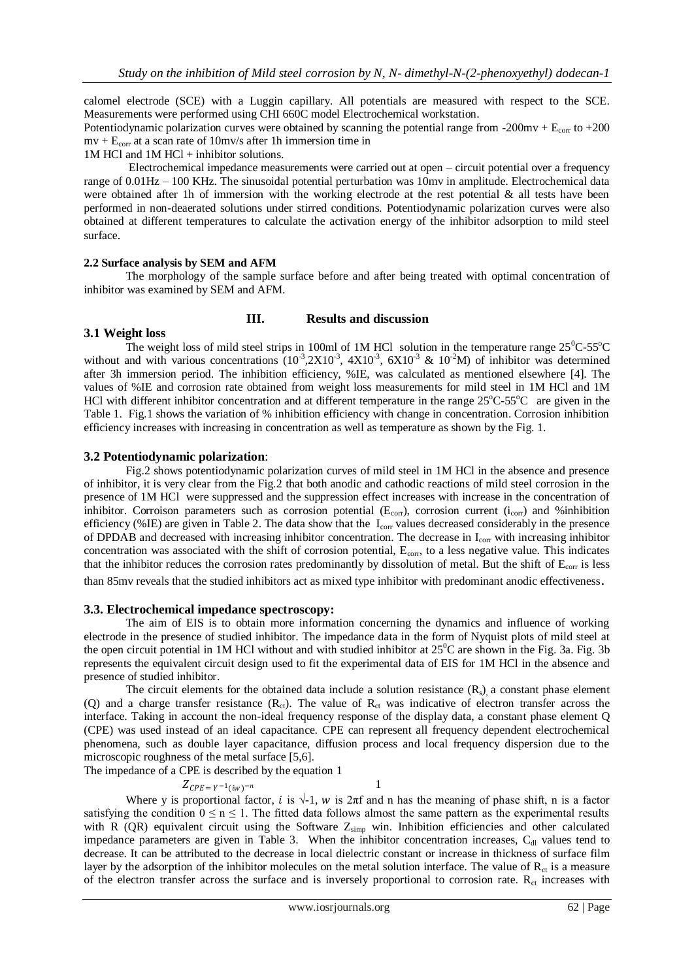calomel electrode (SCE) with a Luggin capillary. All potentials are measured with respect to the SCE. Measurements were performed using CHI 660C model Electrochemical workstation.

Potentiodynamic polarization curves were obtained by scanning the potential range from -200mv +  $E_{\text{corr}}$  to +200  $mv + E_{corr}$  at a scan rate of 10mv/s after 1h immersion time in

1M HCl and 1M HCl + inhibitor solutions.

Electrochemical impedance measurements were carried out at open – circuit potential over a frequency range of 0.01Hz – 100 KHz. The sinusoidal potential perturbation was 10mv in amplitude. Electrochemical data were obtained after 1h of immersion with the working electrode at the rest potential  $\&$  all tests have been performed in non-deaerated solutions under stirred conditions. Potentiodynamic polarization curves were also obtained at different temperatures to calculate the activation energy of the inhibitor adsorption to mild steel surface.

#### **2.2 Surface analysis by SEM and AFM**

The morphology of the sample surface before and after being treated with optimal concentration of inhibitor was examined by SEM and AFM.

#### **III. Results and discussion**

#### **3.1 Weight loss**

The weight loss of mild steel strips in 100ml of 1M HCl solution in the temperature range  $25^{\circ}$ C-55<sup>o</sup>C without and with various concentrations  $(10^{-3}, 2X10^{-3}, 4X10^{-3}, 6X10^{-3}, \& 10^{-2}M)$  of inhibitor was determined after 3h immersion period. The inhibition efficiency, %IE, was calculated as mentioned elsewhere [4]. The values of %IE and corrosion rate obtained from weight loss measurements for mild steel in 1M HCl and 1M HCl with different inhibitor concentration and at different temperature in the range  $25^{\circ}$ C-55<sup>o</sup>C are given in the Table 1. Fig.1 shows the variation of % inhibition efficiency with change in concentration. Corrosion inhibition efficiency increases with increasing in concentration as well as temperature as shown by the Fig. 1.

#### **3.2 Potentiodynamic polarization**:

Fig.2 shows potentiodynamic polarization curves of mild steel in 1M HCl in the absence and presence of inhibitor, it is very clear from the Fig.2 that both anodic and cathodic reactions of mild steel corrosion in the presence of 1M HCl were suppressed and the suppression effect increases with increase in the concentration of inhibitor. Corroison parameters such as corrosion potential  $(E_{\text{corr}})$ , corrosion current ( $i_{\text{corr}}$ ) and %inhibition efficiency (%IE) are given in Table 2. The data show that the  $I_{\text{corr}}$  values decreased considerably in the presence of DPDAB and decreased with increasing inhibitor concentration. The decrease in I<sub>corr</sub> with increasing inhibitor concentration was associated with the shift of corrosion potential, E<sub>corr</sub>, to a less negative value. This indicates that the inhibitor reduces the corrosion rates predominantly by dissolution of metal. But the shift of  $E_{\text{corr}}$  is less than 85mv reveals that the studied inhibitors act as mixed type inhibitor with predominant anodic effectiveness.

#### **3.3. Electrochemical impedance spectroscopy:**

The aim of EIS is to obtain more information concerning the dynamics and influence of working electrode in the presence of studied inhibitor. The impedance data in the form of Nyquist plots of mild steel at the open circuit potential in 1M HCl without and with studied inhibitor at  $25^{\circ}$ C are shown in the Fig. 3a. Fig. 3b represents the equivalent circuit design used to fit the experimental data of EIS for 1M HCl in the absence and presence of studied inhibitor.

The circuit elements for the obtained data include a solution resistance  $(R_s)$ , a constant phase element (Q) and a charge transfer resistance  $(R<sub>ct</sub>)$ . The value of  $R<sub>ct</sub>$  was indicative of electron transfer across the interface. Taking in account the non-ideal frequency response of the display data, a constant phase element Q (CPE) was used instead of an ideal capacitance. CPE can represent all frequency dependent electrochemical phenomena, such as double layer capacitance, diffusion process and local frequency dispersion due to the microscopic roughness of the metal surface [5,6].

The impedance of a CPE is described by the equation 1

 $Z_{CPE=Y^{-1}(iw)}$  $-n$  1

Where y is proportional factor, *i* is  $\sqrt{-1}$ , *w* is  $2\pi$ f and n has the meaning of phase shift, n is a factor satisfying the condition  $0 \le n \le 1$ . The fitted data follows almost the same pattern as the experimental results with R (QR) equivalent circuit using the Software  $Z_{\text{simp}}$  win. Inhibition efficiencies and other calculated impedance parameters are given in Table 3. When the inhibitor concentration increases, C<sub>dl</sub> values tend to decrease. It can be attributed to the decrease in local dielectric constant or increase in thickness of surface film layer by the adsorption of the inhibitor molecules on the metal solution interface. The value of  $R<sub>ct</sub>$  is a measure of the electron transfer across the surface and is inversely proportional to corrosion rate. R<sub>ct</sub> increases with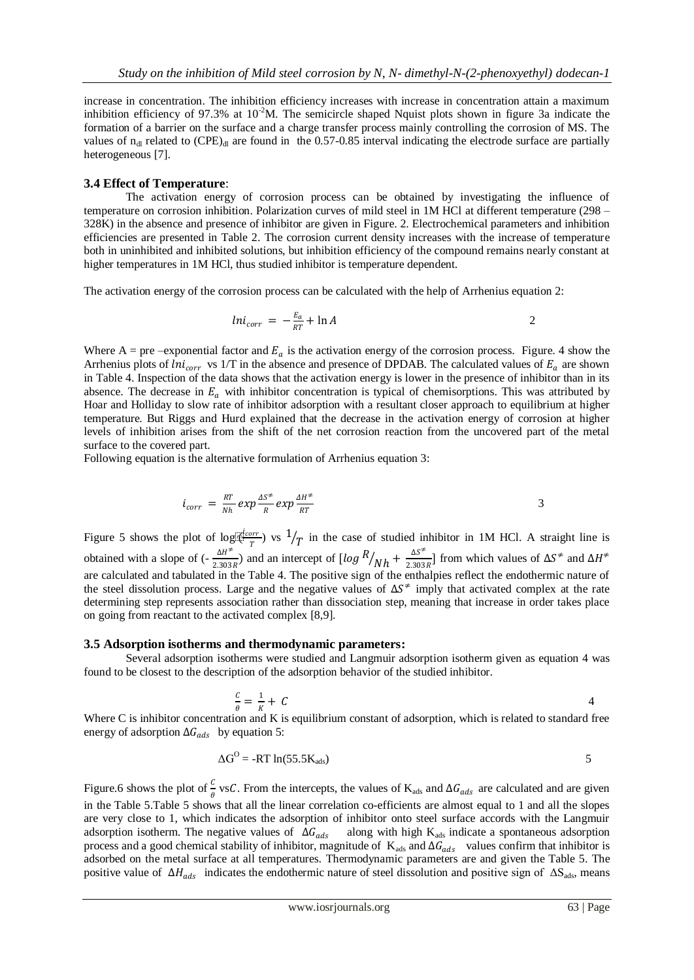increase in concentration. The inhibition efficiency increases with increase in concentration attain a maximum inhibition efficiency of 97.3% at  $10^{-2}$ M. The semicircle shaped Nquist plots shown in figure 3a indicate the formation of a barrier on the surface and a charge transfer process mainly controlling the corrosion of MS. The values of  $n_{dl}$  related to (CPE)<sub>dl</sub> are found in the 0.57-0.85 interval indicating the electrode surface are partially heterogeneous [7].

#### **3.4 Effect of Temperature**:

The activation energy of corrosion process can be obtained by investigating the influence of temperature on corrosion inhibition. Polarization curves of mild steel in 1M HCl at different temperature (298 – 328K) in the absence and presence of inhibitor are given in Figure. 2. Electrochemical parameters and inhibition efficiencies are presented in Table 2. The corrosion current density increases with the increase of temperature both in uninhibited and inhibited solutions, but inhibition efficiency of the compound remains nearly constant at higher temperatures in 1M HCl, thus studied inhibitor is temperature dependent.

The activation energy of the corrosion process can be calculated with the help of Arrhenius equation 2:

$$
ln i_{corr} = -\frac{E_a}{RT} + \ln A \tag{2}
$$

Where A = pre –exponential factor and  $E_a$  is the activation energy of the corrosion process. Figure. 4 show the Arrhenius plots of  $\text{ln}i_{corr}$  vs 1/T in the absence and presence of DPDAB. The calculated values of  $E_a$  are shown in Table 4. Inspection of the data shows that the activation energy is lower in the presence of inhibitor than in its absence. The decrease in  $E_a$  with inhibitor concentration is typical of chemisorptions. This was attributed by Hoar and Holliday to slow rate of inhibitor adsorption with a resultant closer approach to equilibrium at higher temperature. But Riggs and Hurd explained that the decrease in the activation energy of corrosion at higher levels of inhibition arises from the shift of the net corrosion reaction from the uncovered part of the metal surface to the covered part.

Following equation is the alternative formulation of Arrhenius equation 3:

$$
i_{corr} = \frac{RT}{Nh} \exp \frac{4S^{\neq}}{R} \exp \frac{4H^{\neq}}{RT}
$$

Figure 5 shows the plot of log  $\mathbb{R}^{\frac{deorr}{m}}$  $\frac{1}{T}$  vs  $\frac{1}{T}$  in the case of studied inhibitor in 1M HCl. A straight line is obtained with a slope of  $\left(-\frac{\Delta H^2}{2.202}\right)$  $\frac{\Delta H^2}{2.303R}$  and an intercept of  $\left[\log \frac{R}{Nh} + \frac{\Delta S^2}{2.303}\right]$  $\frac{\Delta S}{2.303R}$  from which values of  $\Delta S^{\neq}$  and  $\Delta H^{\neq}$ are calculated and tabulated in the Table 4. The positive sign of the enthalpies reflect the endothermic nature of the steel dissolution process. Large and the negative values of  $\Delta S^{\neq}$  imply that activated complex at the rate determining step represents association rather than dissociation step, meaning that increase in order takes place on going from reactant to the activated complex [8,9].

#### **3.5 Adsorption isotherms and thermodynamic parameters:**

Several adsorption isotherms were studied and Langmuir adsorption isotherm given as equation 4 was found to be closest to the description of the adsorption behavior of the studied inhibitor.

$$
\frac{c}{\theta} = \frac{1}{K} + C
$$

Where C is inhibitor concentration and K is equilibrium constant of adsorption, which is related to standard free energy of adsorption  $\Delta G_{ads}$  by equation 5:

$$
\Delta G^{\rm O} = -RT \ln(55.5 K_{\rm ads})
$$

Figure.6 shows the plot of  $\frac{c}{\theta}$  vsC. From the intercepts, the values of K<sub>ads</sub> and ∆G<sub>ads</sub> are calculated and are given in the Table 5.Table 5 shows that all the linear correlation co-efficients are almost equal to 1 and all the slopes are very close to 1, which indicates the adsorption of inhibitor onto steel surface accords with the Langmuir adsorption isotherm. The negative values of  $\Delta G_{ads}$  along with high K<sub>ads</sub> indicate a spontaneous adsorption process and a good chemical stability of inhibitor, magnitude of  $K_{ads}$  and  $\Delta G_{ads}$  values confirm that inhibitor is adsorbed on the metal surface at all temperatures. Thermodynamic parameters are and given the Table 5. The positive value of  $\Delta H_{ads}$  indicates the endothermic nature of steel dissolution and positive sign of  $\Delta S_{ads}$ , means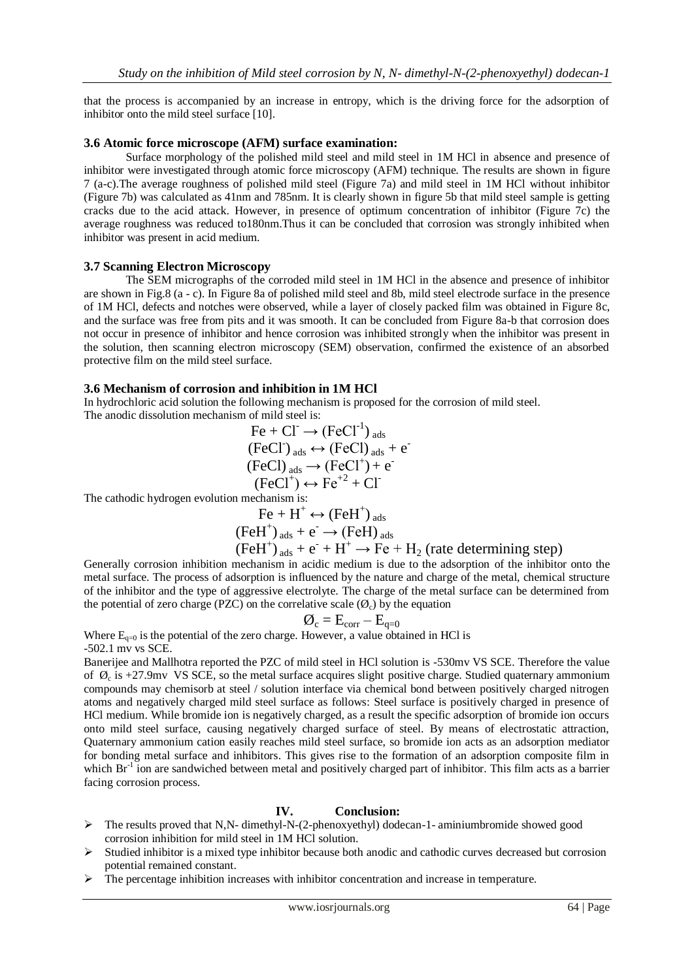that the process is accompanied by an increase in entropy, which is the driving force for the adsorption of inhibitor onto the mild steel surface [10].

#### **3.6 Atomic force microscope (AFM) surface examination:**

Surface morphology of the polished mild steel and mild steel in 1M HCl in absence and presence of inhibitor were investigated through atomic force microscopy (AFM) technique. The results are shown in figure 7 (a-c).The average roughness of polished mild steel (Figure 7a) and mild steel in 1M HCl without inhibitor (Figure 7b) was calculated as 41nm and 785nm. It is clearly shown in figure 5b that mild steel sample is getting cracks due to the acid attack. However, in presence of optimum concentration of inhibitor (Figure 7c) the average roughness was reduced to180nm.Thus it can be concluded that corrosion was strongly inhibited when inhibitor was present in acid medium.

#### **3.7 Scanning Electron Microscopy**

The SEM micrographs of the corroded mild steel in 1M HCl in the absence and presence of inhibitor are shown in Fig.8 (a - c). In Figure 8a of polished mild steel and 8b, mild steel electrode surface in the presence of 1M HCl, defects and notches were observed, while a layer of closely packed film was obtained in Figure 8c, and the surface was free from pits and it was smooth. It can be concluded from Figure 8a-b that corrosion does not occur in presence of inhibitor and hence corrosion was inhibited strongly when the inhibitor was present in the solution, then scanning electron microscopy (SEM) observation, confirmed the existence of an absorbed protective film on the mild steel surface.

#### **3.6 Mechanism of corrosion and inhibition in 1M HCl**

In hydrochloric acid solution the following mechanism is proposed for the corrosion of mild steel.

The anodic dissolution mechanism of mild steel is:

$$
\text{Fe} + \text{CI} \rightarrow (\text{FeCl}^{-1})_{\text{ads}}
$$
\n
$$
(\text{FeCl})_{\text{ads}} \leftrightarrow (\text{FeCl})_{\text{ads}} + \text{e}^{-}
$$
\n
$$
(\text{FeCl})_{\text{ads}} \rightarrow (\text{FeCl}^{+}) + \text{e}^{-}
$$
\n
$$
(\text{FeCl}^{+}) \leftrightarrow \text{Fe}^{+2} + \text{Cl}^{-}
$$

The cathodic hydrogen evolution mechanism is:

$$
\text{Fe} + \text{H}^+ \leftrightarrow (\text{FeH}^+)_{\text{ads}}
$$

 $(FeH^+)_{ads} + e^- \rightarrow (FeH)_{ads}$ 

$$
(\text{FeH}^{\dagger})_{ads} + e^{\dagger} + H^{\dagger} \rightarrow Fe + H_2
$$
 (rate determining step)

Generally corrosion inhibition mechanism in acidic medium is due to the adsorption of the inhibitor onto the metal surface. The process of adsorption is influenced by the nature and charge of the metal, chemical structure of the inhibitor and the type of aggressive electrolyte. The charge of the metal surface can be determined from the potential of zero charge (PZC) on the correlative scale  $(\emptyset_c)$  by the equation

$$
\mathcal{O}_{\rm c} = {\rm E}_{\rm corr} - {\rm E}_{\rm q=0}
$$

Where  $E_{q=0}$  is the potential of the zero charge. However, a value obtained in HCl is -502.1 mv vs SCE.

Banerijee and Mallhotra reported the PZC of mild steel in HCl solution is -530mv VS SCE. Therefore the value of  $\varnothing_c$  is +27.9mv VS SCE, so the metal surface acquires slight positive charge. Studied quaternary ammonium compounds may chemisorb at steel / solution interface via chemical bond between positively charged nitrogen atoms and negatively charged mild steel surface as follows: Steel surface is positively charged in presence of HCl medium. While bromide ion is negatively charged, as a result the specific adsorption of bromide ion occurs onto mild steel surface, causing negatively charged surface of steel. By means of electrostatic attraction, Quaternary ammonium cation easily reaches mild steel surface, so bromide ion acts as an adsorption mediator for bonding metal surface and inhibitors. This gives rise to the formation of an adsorption composite film in which Br<sup>-1</sup> ion are sandwiched between metal and positively charged part of inhibitor. This film acts as a barrier facing corrosion process.

## **IV. Conclusion:**

- The results proved that N,N- dimethyl-N-(2-phenoxyethyl) dodecan-1- aminiumbromide showed good corrosion inhibition for mild steel in 1M HCl solution.
- $\triangleright$  Studied inhibitor is a mixed type inhibitor because both anodic and cathodic curves decreased but corrosion potential remained constant.
- $\triangleright$  The percentage inhibition increases with inhibitor concentration and increase in temperature.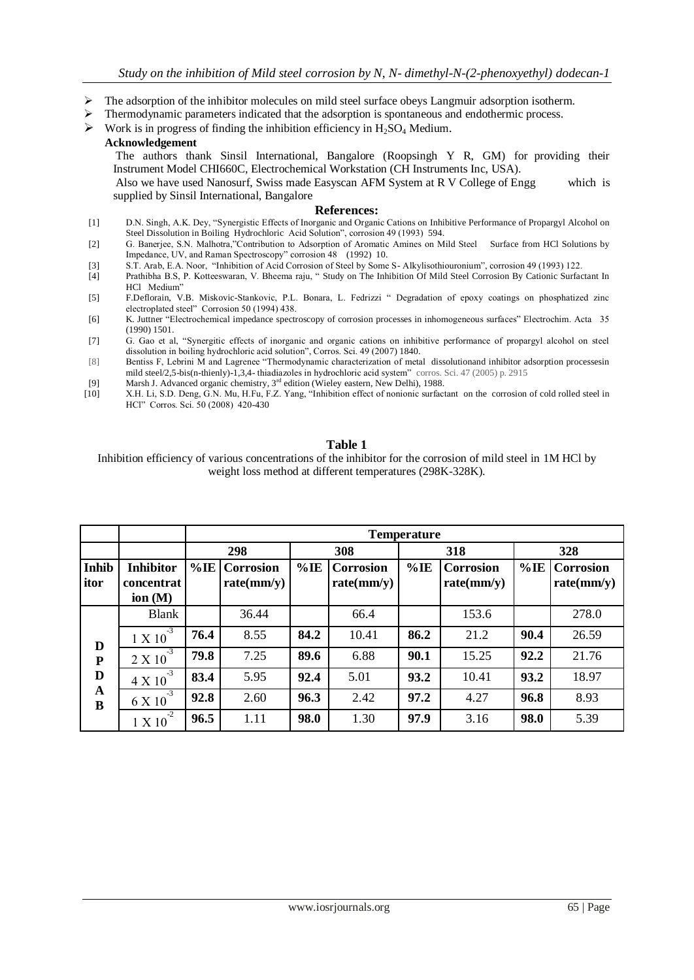- $\triangleright$  The adsorption of the inhibitor molecules on mild steel surface obeys Langmuir adsorption isotherm.
- $\triangleright$  Thermodynamic parameters indicated that the adsorption is spontaneous and endothermic process.
- $\triangleright$  Work is in progress of finding the inhibition efficiency in H<sub>2</sub>SO<sub>4</sub> Medium.

#### **Acknowledgement**

 The authors thank Sinsil International, Bangalore (Roopsingh Y R, GM) for providing their Instrument Model CHI660C, Electrochemical Workstation (CH Instruments Inc, USA).

 Also we have used Nanosurf, Swiss made Easyscan AFM System at R V College of Engg which is supplied by Sinsil International, Bangalore

#### **References:**

- [1] D.N. Singh, A.K. Dey, "Synergistic Effects of Inorganic and Organic Cations on Inhibitive Performance of Propargyl Alcohol on Steel Dissolution in Boiling Hydrochloric Acid Solution", corrosion 49 (1993) 594.
- [2] G. Banerjee, S.N. Malhotra,"Contribution to Adsorption of Aromatic Amines on Mild Steel Surface from HCl Solutions by Impedance, UV, and Raman Spectroscopy" corrosion 48 (1992) 10.
- [3] S.T. Arab, E.A. Noor, "Inhibition of Acid Corrosion of Steel by Some S- Alkylisothiouronium", corrosion 49 (1993) 122.
- [4] Prathibha B.S, P. Kotteeswaran, V. Bheema raju, " Study on The Inhibition Of Mild Steel Corrosion By Cationic Surfactant In HCl Medium"
- [5] F.Deflorain, V.B. Miskovic-Stankovic, P.L. Bonara, L. Fedrizzi " Degradation of epoxy coatings on phosphatized zinc electroplated steel" Corrosion 50 (1994) 438.
- [6] K. Juttner "Electrochemical impedance spectroscopy of corrosion processes in inhomogeneous surfaces" Electrochim. Acta 35 (1990) 1501.
- [7] G. Gao et al, "Synergitic effects of inorganic and organic cations on inhibitive performance of propargyl alcohol on steel dissolution in boiling hydrochloric acid solution", Corros. Sci. 49 (2007) 1840.
- [8] Bentiss F, Lebrini M and Lagrenee "Thermodynamic characterization of metal dissolutionand inhibitor adsorption processesin mild steel/2,5-bis(n-thienly)-1,3,4- thiadiazoles in hydrochloric acid system" corros. Sci. 47 (2005) p. 2915
- [9] Marsh J. Advanced organic chemistry, 3<sup>rd</sup> edition (Wieley eastern, New Delhi), 1988.
- [10] X.H. Li, S.D. Deng, G.N. Mu, H.Fu, F.Z. Yang, "Inhibition effect of nonionic surfactant on the corrosion of cold rolled steel in HCl" Corros. Sci. 50 (2008) 420-430

#### **Table 1**

Inhibition efficiency of various concentrations of the inhibitor for the corrosion of mild steel in 1M HCl by weight loss method at different temperatures (298K-328K).

|                                         |                                                    | <b>Temperature</b> |                                |         |                                |        |                                |        |                                |
|-----------------------------------------|----------------------------------------------------|--------------------|--------------------------------|---------|--------------------------------|--------|--------------------------------|--------|--------------------------------|
|                                         |                                                    | 298                |                                | 308     |                                | 318    |                                | 328    |                                |
| Inhib<br>itor                           | <b>Inhibitor</b><br><b>concentrat</b><br>ion $(M)$ | $\%$ IE            | <b>Corrosion</b><br>rate(mm/y) | $\%$ IE | <b>Corrosion</b><br>rate(mm/y) | $%$ IE | <b>Corrosion</b><br>rate(mm/y) | $%$ IE | <b>Corrosion</b><br>rate(mm/y) |
| D<br>${\bf P}$<br>D<br>$\mathbf A$<br>B | <b>Blank</b>                                       |                    | 36.44                          |         | 66.4                           |        | 153.6                          |        | 278.0                          |
|                                         | $-3$<br>1 X 10                                     | 76.4               | 8.55                           | 84.2    | 10.41                          | 86.2   | 21.2                           | 90.4   | 26.59                          |
|                                         | $-3$<br>2 X 10                                     | 79.8               | 7.25                           | 89.6    | 6.88                           | 90.1   | 15.25                          | 92.2   | 21.76                          |
|                                         | $-3$<br>4 X 10                                     | 83.4               | 5.95                           | 92.4    | 5.01                           | 93.2   | 10.41                          | 93.2   | 18.97                          |
|                                         | $-3$<br>6 X 10                                     | 92.8               | 2.60                           | 96.3    | 2.42                           | 97.2   | 4.27                           | 96.8   | 8.93                           |
|                                         | $-2$<br>1 X 10                                     | 96.5               | 1.11                           | 98.0    | 1.30                           | 97.9   | 3.16                           | 98.0   | 5.39                           |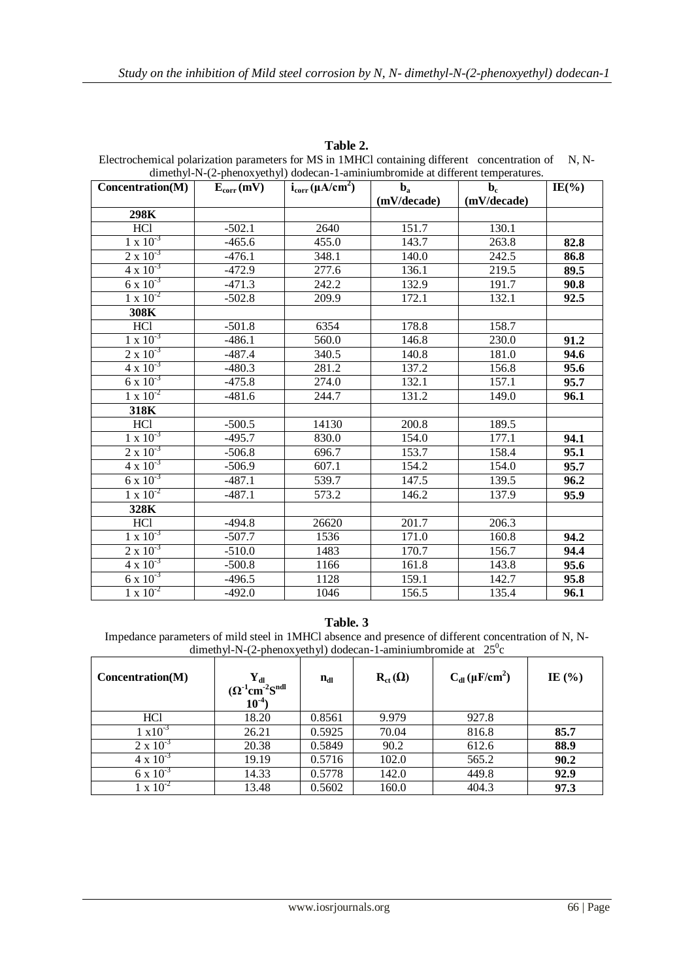| dimethyl-N-(2-phenoxyethyl) dodecan-1-aminiumbromide at different temperatures. |                |                         |                                        |                               |           |  |  |
|---------------------------------------------------------------------------------|----------------|-------------------------|----------------------------------------|-------------------------------|-----------|--|--|
| Concentration(M)                                                                | $E_{corr}(mV)$ | $i_{corr} (\mu A/cm^2)$ | $\mathbf{b}_\mathbf{a}$<br>(mV/decade) | $\mathbf{b}_c$<br>(mV/decade) | $IE(\% )$ |  |  |
| 298K                                                                            |                |                         |                                        |                               |           |  |  |
| <b>HCl</b>                                                                      | $-502.1$       | 2640                    | 151.7                                  | 130.1                         |           |  |  |
| $1 \times 10^{-3}$                                                              | $-465.6$       | 455.0                   | 143.7                                  | 263.8                         | 82.8      |  |  |
| $2 \times 10^{-3}$                                                              | $-476.1$       | 348.1                   | 140.0                                  | 242.5                         | 86.8      |  |  |
| $4 \times 10^{-3}$                                                              | $-472.9$       | 277.6                   | 136.1                                  | 219.5                         | 89.5      |  |  |
| $6 \times 10^{-3}$                                                              | $-471.3$       | 242.2                   | 132.9                                  | 191.7                         | 90.8      |  |  |
| $1 \times 10^{-2}$                                                              | $-502.8$       | 209.9                   | 172.1                                  | 132.1                         | 92.5      |  |  |
| 308K                                                                            |                |                         |                                        |                               |           |  |  |
| <b>HCl</b>                                                                      | $-501.8$       | 6354                    | 178.8                                  | 158.7                         |           |  |  |
| $1 \times 10^{-3}$                                                              | $-486.1$       | 560.0                   | 146.8                                  | 230.0                         | 91.2      |  |  |
| $2 \times 10^{-3}$                                                              | -487.4         | 340.5                   | 140.8                                  | 181.0                         | 94.6      |  |  |
| $4 \times 10^{-3}$                                                              | $-480.3$       | 281.2                   | 137.2                                  | 156.8                         | 95.6      |  |  |
| $6 \times 10^{-3}$                                                              | $-475.8$       | 274.0                   | 132.1                                  | 157.1                         | 95.7      |  |  |
| $1 \times 10^{-2}$                                                              | $-481.6$       | 244.7                   | 131.2                                  | 149.0                         | 96.1      |  |  |
| 318K                                                                            |                |                         |                                        |                               |           |  |  |
| HCl                                                                             | $-500.5$       | 14130                   | 200.8                                  | 189.5                         |           |  |  |
| $1 \times 10^{-3}$                                                              | $-495.7$       | 830.0                   | 154.0                                  | 177.1                         | 94.1      |  |  |
| $2 \times 10^{-3}$                                                              | $-506.8$       | 696.7                   | 153.7                                  | 158.4                         | 95.1      |  |  |
| $4 \times 10^{-3}$                                                              | $-506.9$       | 607.1                   | 154.2                                  | 154.0                         | 95.7      |  |  |
| $6 \times 10^{-3}$                                                              | $-487.1$       | 539.7                   | 147.5                                  | 139.5                         | 96.2      |  |  |
| $1 \times 10^{-2}$                                                              | $-487.1$       | 573.2                   | 146.2                                  | 137.9                         | 95.9      |  |  |
| 328K                                                                            |                |                         |                                        |                               |           |  |  |
| <b>HCl</b>                                                                      | $-494.8$       | 26620                   | 201.7                                  | 206.3                         |           |  |  |
| $1 \times 10^{-3}$                                                              | $-507.7$       | 1536                    | 171.0                                  | 160.8                         | 94.2      |  |  |
| $2 \times 10^{-3}$                                                              | $-510.0$       | 1483                    | 170.7                                  | 156.7                         | 94.4      |  |  |
| $4 \times 10^{-3}$                                                              | $-500.8$       | 1166                    | 161.8                                  | 143.8                         | 95.6      |  |  |
| $6 \times 10^{-3}$                                                              | $-496.5$       | 1128                    | 159.1                                  | 142.7                         | 95.8      |  |  |
| $1 \times 10^{-2}$                                                              | $-492.0$       | 1046                    | 156.5                                  | 135.4                         | 96.1      |  |  |

**Table 2.** Electrochemical polarization parameters for MS in 1MHCl containing different concentration of N, N-

# **Table. 3**

Impedance parameters of mild steel in 1MHCl absence and presence of different concentration of N, Ndimethyl-N-(2-phenoxyethyl) dodecan-1-aminiumbromide at  $25^\circ$ c

| Concentration(M)   | $\mathbf{Y}_{\mathbf{dl}}$<br>$(\Omega^1$ cm <sup>-2</sup> S <sup>ndl</sup><br>$10^{-4}$ | $n_{dl}$ | $R_{ct}(\Omega)$ | $C_{dl}(\mu F/cm^2)$ | IE $(\% )$ |
|--------------------|------------------------------------------------------------------------------------------|----------|------------------|----------------------|------------|
| HC <sub>1</sub>    | 18.20                                                                                    | 0.8561   | 9.979            | 927.8                |            |
| $1 \times 10^{-3}$ | 26.21                                                                                    | 0.5925   | 70.04            | 816.8                | 85.7       |
| $2 \times 10^{-3}$ | 20.38                                                                                    | 0.5849   | 90.2             | 612.6                | 88.9       |
| $4 \times 10^{-3}$ | 19.19                                                                                    | 0.5716   | 102.0            | 565.2                | 90.2       |
| $6 \times 10^{-3}$ | 14.33                                                                                    | 0.5778   | 142.0            | 449.8                | 92.9       |
| $1 \times 10^{-2}$ | 13.48                                                                                    | 0.5602   | 160.0            | 404.3                | 97.3       |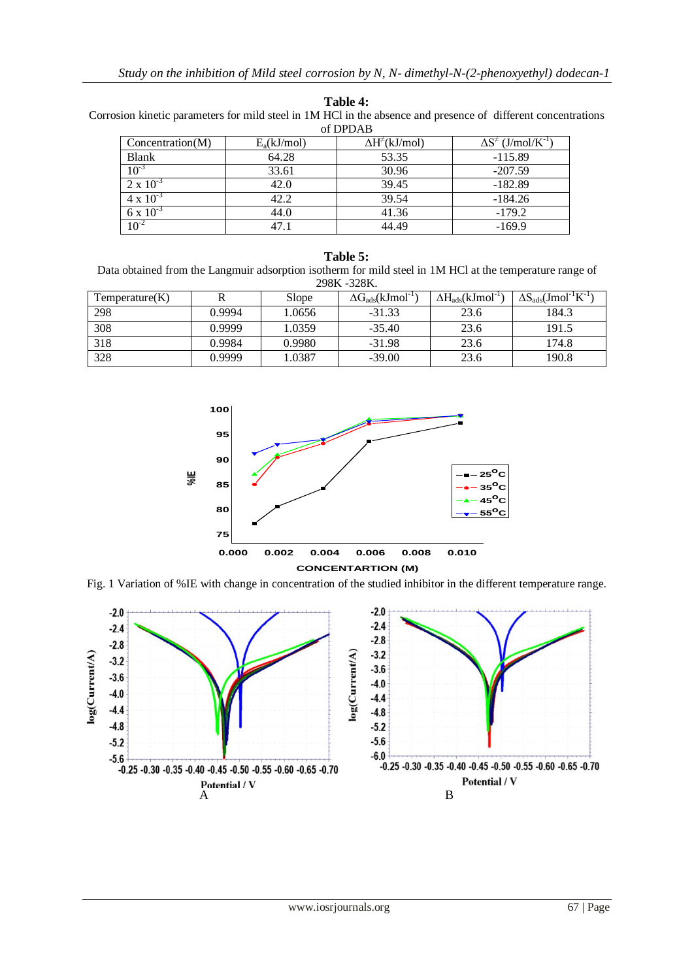| <b>Table 4:</b> |  |
|-----------------|--|
|-----------------|--|

Corrosion kinetic parameters for mild steel in 1M HCl in the absence and presence of different concentrations of DPDAB

| <u>u di dad</u>    |               |                            |                                             |  |  |  |  |
|--------------------|---------------|----------------------------|---------------------------------------------|--|--|--|--|
| Concentration(M)   | $E_a(kJ/mol)$ | $\Delta H^{\neq}$ (kJ/mol) | $\Delta S^{\dagger}$ (J/mol/K <sup>-1</sup> |  |  |  |  |
| Blank              | 64.28         | 53.35                      | $-115.89$                                   |  |  |  |  |
| $10^{-3}$          | 33.61         | 30.96                      | $-207.59$                                   |  |  |  |  |
| $2 \times 10^{-3}$ | 42.0          | 39.45                      | $-182.89$                                   |  |  |  |  |
| $4 \times 10^{-3}$ | 42.2          | 39.54                      | $-184.26$                                   |  |  |  |  |
| $6 \times 10^{-3}$ | 44.0          | 41.36                      | $-179.2$                                    |  |  |  |  |
| $10^{-2}$          | 47.1          | 44.49                      | $-169.9$                                    |  |  |  |  |

| Table 5:                                                                                                 |
|----------------------------------------------------------------------------------------------------------|
| Data obtained from the Langmuir adsorption isotherm for mild steel in 1M HCl at the temperature range of |
| 298K -328K.                                                                                              |

| Temperature(K) |        | Slope  | $\Delta G_{ads}$ (kJmol <sup>-1</sup> ) | $\Delta H_{ads}$ (kJmol <sup>-1</sup> | $\Delta S_{ads}(Jmol^{-1}K^{-1})$ |
|----------------|--------|--------|-----------------------------------------|---------------------------------------|-----------------------------------|
| 298            | 0.9994 | 1.0656 | $-31.33$                                | 23.6                                  | 184.3                             |
| 308            | 0.9999 | 1.0359 | $-35.40$                                | 23.6                                  | 191.5                             |
| 318            | 0.9984 | 0.9980 | $-31.98$                                | 23.6                                  | 174.8                             |
| 328            | 0.9999 | L.0387 | $-39.00$                                | 23.6                                  | 190.8                             |



Fig. 1 Variation of %IE with change in concentration of the studied inhibitor in the different temperature range.

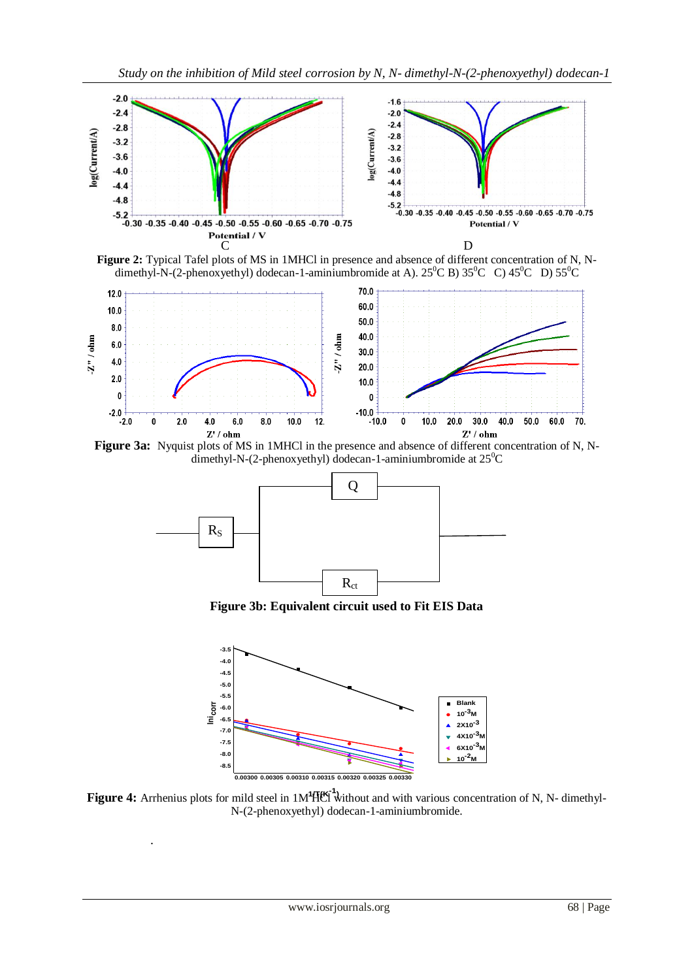

**Figure 2:** Typical Tafel plots of MS in 1MHCl in presence and absence of different concentration of N, Ndimethyl-N-(2-phenoxyethyl) dodecan-1-aminiumbromide at A).  $25^{\circ}$ C B)  $35^{\circ}$ C C)  $45^{\circ}$ C D)  $55^{\circ}$ C



**Figure 3a:** Nyquist plots of MS in 1MHCl in the presence and absence of different concentration of N, Ndimethyl-N-(2-phenoxyethyl) dodecan-1-aminiumbromide at  $25^{\circ}$ C



**Figure 3b: Equivalent circuit used to Fit EIS Data**



**Figure 4:** Arrhenius plots for mild steel in 1M<sup>4</sup>H(K<sup>-1</sup>) without and with various concentration of N, N- dimethyl-N-(2-phenoxyethyl) dodecan-1-aminiumbromide.

.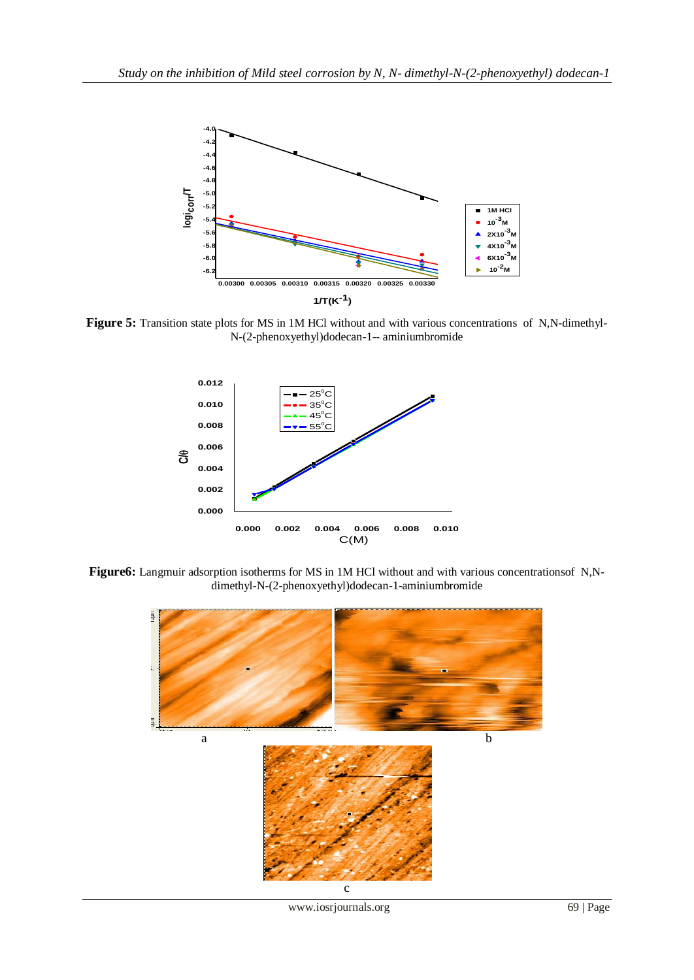

**Figure 5:** Transition state plots for MS in 1M HCl without and with various concentrations of N,N-dimethyl-N-(2-phenoxyethyl)dodecan-1-- aminiumbromide



**Figure6:** Langmuir adsorption isotherms for MS in 1M HCl without and with various concentrationsof N,Ndimethyl-N-(2-phenoxyethyl)dodecan-1-aminiumbromide



www.iosrjournals.org 69 | Page